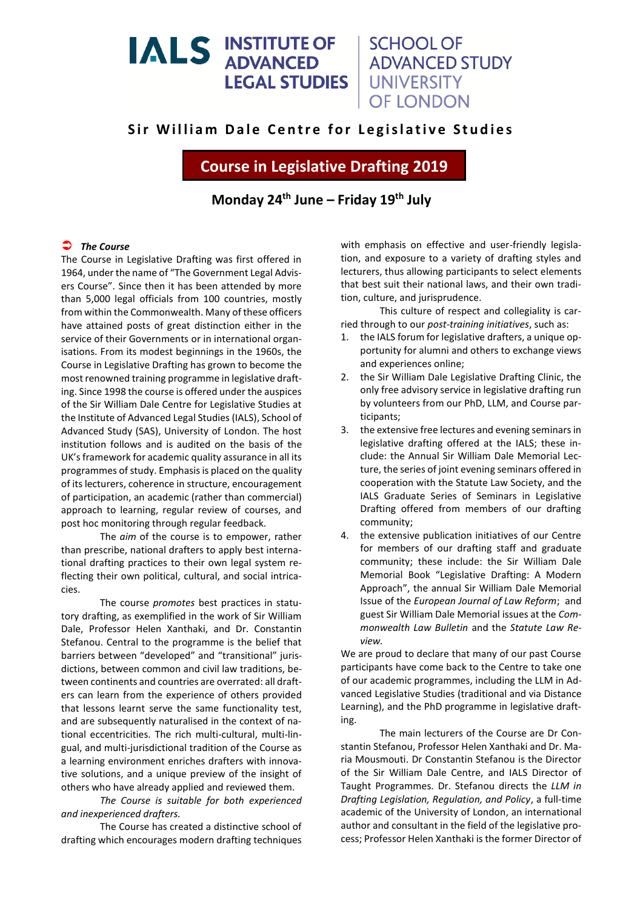# **IALS INSTITUTE OF LEGAL STUDIES**

## **SCHOOL OF ADVANCED STUDY** UNIVERSITY **OF LONDON**

## **Sir William Dale Centre for Legislative Studies**

**Course in Legislative Drafting 2019**

**Monday 24 th June – Friday 19th July**

### *The Course*

The Course in Legislative Drafting was first offered in 1964, under the name of "The Government Legal Advisers Course". Since then it has been attended by more than 5,000 legal officials from 100 countries, mostly from within the Commonwealth. Many of these officers have attained posts of great distinction either in the service of their Governments or in international organisations. From its modest beginnings in the 1960s, the Course in Legislative Drafting has grown to become the most renowned training programme in legislative drafting. Since 1998 the course is offered under the auspices of the Sir William Dale Centre for Legislative Studies at the Institute of Advanced Legal Studies (IALS), School of Advanced Study (SAS), University of London. The host institution follows and is audited on the basis of the UK's framework for academic quality assurance in all its programmes of study. Emphasis is placed on the quality of its lecturers, coherence in structure, encouragement of participation, an academic (rather than commercial) approach to learning, regular review of courses, and post hoc monitoring through regular feedback.

The *aim* of the course is to empower, rather than prescribe, national drafters to apply best international drafting practices to their own legal system reflecting their own political, cultural, and social intricacies.

The course *promotes* best practices in statutory drafting, as exemplified in the work of Sir William Dale, Professor Helen Xanthaki, and Dr. Constantin Stefanou. Central to the programme is the belief that barriers between "developed" and "transitional" jurisdictions, between common and civil law traditions, between continents and countries are overrated: all drafters can learn from the experience of others provided that lessons learnt serve the same functionality test, and are subsequently naturalised in the context of national eccentricities. The rich multi-cultural, multi-lingual, and multi-jurisdictional tradition of the Course as a learning environment enriches drafters with innovative solutions, and a unique preview of the insight of others who have already applied and reviewed them.

*The Course is suitable for both experienced and inexperienced drafters.*

The Course has created a distinctive school of drafting which encourages modern drafting techniques

with emphasis on effective and user-friendly legislation, and exposure to a variety of drafting styles and lecturers, thus allowing participants to select elements that best suit their national laws, and their own tradition, culture, and jurisprudence.

This culture of respect and collegiality is carried through to our *post-training initiatives*, such as:

- 1. the IALS forum for legislative drafters, a unique opportunity for alumni and others to exchange views and experiences online;
- 2. the Sir William Dale Legislative Drafting Clinic, the only free advisory service in legislative drafting run by volunteers from our PhD, LLM, and Course participants;
- 3. the extensive free lectures and evening seminars in legislative drafting offered at the IALS; these include: the Annual Sir William Dale Memorial Lecture, the series of joint evening seminars offered in cooperation with the Statute Law Society, and the IALS Graduate Series of Seminars in Legislative Drafting offered from members of our drafting community;
- 4. the extensive publication initiatives of our Centre for members of our drafting staff and graduate community; these include: the Sir William Dale Memorial Book "Legislative Drafting: A Modern Approach", the annual Sir William Dale Memorial Issue of the *European Journal of Law Reform*; and guest Sir William Dale Memorial issues at the *Commonwealth Law Bulletin* and the *Statute Law Review.*

We are proud to declare that many of our past Course participants have come back to the Centre to take one of our academic programmes, including the LLM in Advanced Legislative Studies (traditional and via Distance Learning), and the PhD programme in legislative drafting.

The main lecturers of the Course are Dr Constantin Stefanou, Professor Helen Xanthaki and Dr. Maria Mousmouti. Dr Constantin Stefanou is the Director of the Sir William Dale Centre, and IALS Director of Taught Programmes. Dr. Stefanou directs the *LLM in Drafting Legislation, Regulation, and Policy*, a full-time academic of the University of London, an international author and consultant in the field of the legislative process; Professor Helen Xanthaki is the former Director of